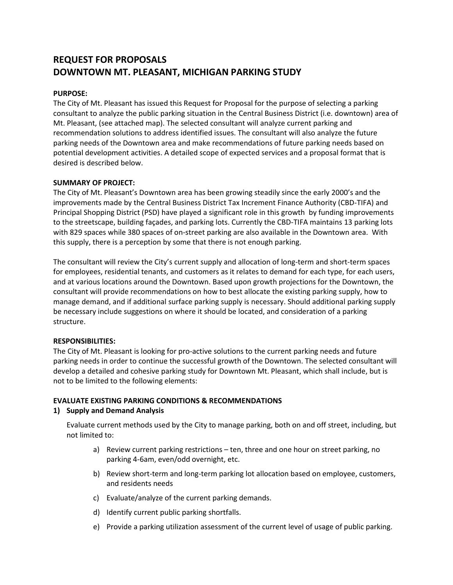# **REQUEST FOR PROPOSALS DOWNTOWN MT. PLEASANT, MICHIGAN PARKING STUDY**

# **PURPOSE:**

The City of Mt. Pleasant has issued this Request for Proposal for the purpose of selecting a parking consultant to analyze the public parking situation in the Central Business District (i.e. downtown) area of Mt. Pleasant, (see attached map). The selected consultant will analyze current parking and recommendation solutions to address identified issues. The consultant will also analyze the future parking needs of the Downtown area and make recommendations of future parking needs based on potential development activities. A detailed scope of expected services and a proposal format that is desired is described below.

# **SUMMARY OF PROJECT:**

The City of Mt. Pleasant's Downtown area has been growing steadily since the early 2000's and the improvements made by the Central Business District Tax Increment Finance Authority (CBD-TIFA) and Principal Shopping District (PSD) have played a significant role in this growth by funding improvements to the streetscape, building façades, and parking lots. Currently the CBD-TIFA maintains 13 parking lots with 829 spaces while 380 spaces of on-street parking are also available in the Downtown area. With this supply, there is a perception by some that there is not enough parking.

The consultant will review the City's current supply and allocation of long-term and short-term spaces for employees, residential tenants, and customers as it relates to demand for each type, for each users, and at various locations around the Downtown. Based upon growth projections for the Downtown, the consultant will provide recommendations on how to best allocate the existing parking supply, how to manage demand, and if additional surface parking supply is necessary. Should additional parking supply be necessary include suggestions on where it should be located, and consideration of a parking structure.

## **RESPONSIBILITIES:**

The City of Mt. Pleasant is looking for pro-active solutions to the current parking needs and future parking needs in order to continue the successful growth of the Downtown. The selected consultant will develop a detailed and cohesive parking study for Downtown Mt. Pleasant, which shall include, but is not to be limited to the following elements:

## **EVALUATE EXISTING PARKING CONDITIONS & RECOMMENDATIONS**

## **1) Supply and Demand Analysis**

Evaluate current methods used by the City to manage parking, both on and off street, including, but not limited to:

- a) Review current parking restrictions ten, three and one hour on street parking, no parking 4-6am, even/odd overnight, etc.
- b) Review short-term and long-term parking lot allocation based on employee, customers, and residents needs
- c) Evaluate/analyze of the current parking demands.
- d) Identify current public parking shortfalls.
- e) Provide a parking utilization assessment of the current level of usage of public parking.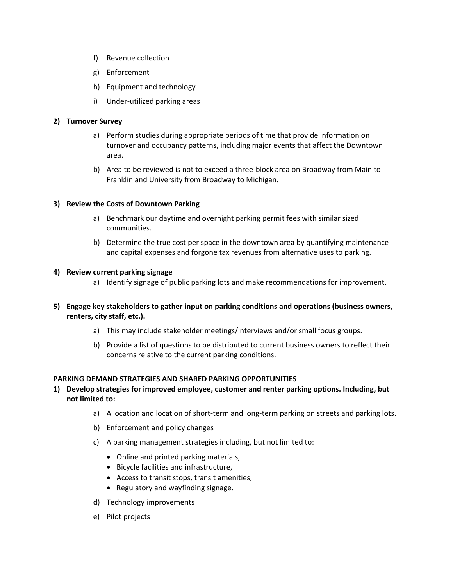- f) Revenue collection
- g) Enforcement
- h) Equipment and technology
- i) Under-utilized parking areas

## **2) Turnover Survey**

- a) Perform studies during appropriate periods of time that provide information on turnover and occupancy patterns, including major events that affect the Downtown area.
- b) Area to be reviewed is not to exceed a three-block area on Broadway from Main to Franklin and University from Broadway to Michigan.

# **3) Review the Costs of Downtown Parking**

- a) Benchmark our daytime and overnight parking permit fees with similar sized communities.
- b) Determine the true cost per space in the downtown area by quantifying maintenance and capital expenses and forgone tax revenues from alternative uses to parking.

## **4) Review current parking signage**

- a) Identify signage of public parking lots and make recommendations for improvement.
- **5) Engage key stakeholders to gather input on parking conditions and operations (business owners, renters, city staff, etc.).** 
	- a) This may include stakeholder meetings/interviews and/or small focus groups.
	- b) Provide a list of questions to be distributed to current business owners to reflect their concerns relative to the current parking conditions.

## **PARKING DEMAND STRATEGIES AND SHARED PARKING OPPORTUNITIES**

- **1) Develop strategies for improved employee, customer and renter parking options. Including, but not limited to:**
	- a) Allocation and location of short-term and long-term parking on streets and parking lots.
	- b) Enforcement and policy changes
	- c) A parking management strategies including, but not limited to:
		- Online and printed parking materials,
		- Bicycle facilities and infrastructure,
		- Access to transit stops, transit amenities,
		- Regulatory and wayfinding signage.
	- d) Technology improvements
	- e) Pilot projects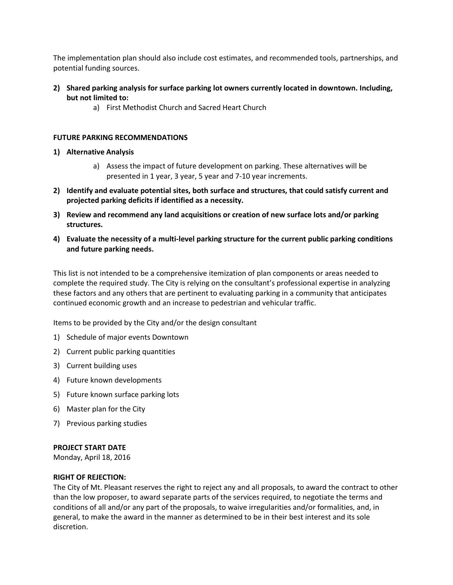The implementation plan should also include cost estimates, and recommended tools, partnerships, and potential funding sources.

- **2) Shared parking analysis for surface parking lot owners currently located in downtown. Including, but not limited to:**
	- a) First Methodist Church and Sacred Heart Church

#### **FUTURE PARKING RECOMMENDATIONS**

#### **1) Alternative Analysis**

- a) Assess the impact of future development on parking. These alternatives will be presented in 1 year, 3 year, 5 year and 7-10 year increments.
- **2) Identify and evaluate potential sites, both surface and structures, that could satisfy current and projected parking deficits if identified as a necessity.**
- **3) Review and recommend any land acquisitions or creation of new surface lots and/or parking structures.**
- **4) Evaluate the necessity of a multi-level parking structure for the current public parking conditions and future parking needs.**

This list is not intended to be a comprehensive itemization of plan components or areas needed to complete the required study. The City is relying on the consultant's professional expertise in analyzing these factors and any others that are pertinent to evaluating parking in a community that anticipates continued economic growth and an increase to pedestrian and vehicular traffic.

Items to be provided by the City and/or the design consultant

- 1) Schedule of major events Downtown
- 2) Current public parking quantities
- 3) Current building uses
- 4) Future known developments
- 5) Future known surface parking lots
- 6) Master plan for the City
- 7) Previous parking studies

#### **PROJECT START DATE**

Monday, April 18, 2016

#### **RIGHT OF REJECTION:**

The City of Mt. Pleasant reserves the right to reject any and all proposals, to award the contract to other than the low proposer, to award separate parts of the services required, to negotiate the terms and conditions of all and/or any part of the proposals, to waive irregularities and/or formalities, and, in general, to make the award in the manner as determined to be in their best interest and its sole discretion.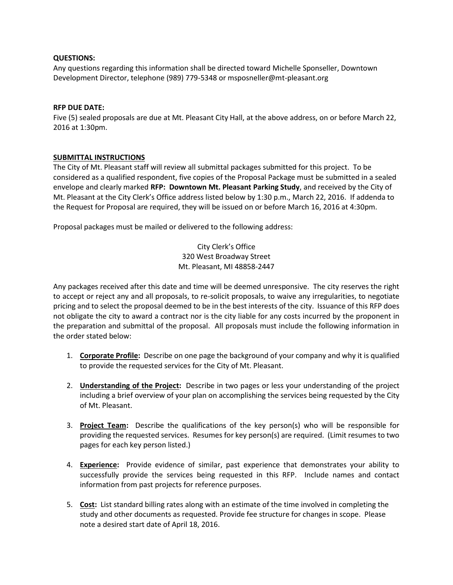#### **QUESTIONS:**

Any questions regarding this information shall be directed toward Michelle Sponseller, Downtown Development Director, telephone (989) 779-5348 or msposneller@mt-pleasant.org

#### **RFP DUE DATE:**

Five (5) sealed proposals are due at Mt. Pleasant City Hall, at the above address, on or before March 22, 2016 at 1:30pm.

#### **SUBMITTAL INSTRUCTIONS**

The City of Mt. Pleasant staff will review all submittal packages submitted for this project. To be considered as a qualified respondent, five copies of the Proposal Package must be submitted in a sealed envelope and clearly marked **RFP: Downtown Mt. Pleasant Parking Study**, and received by the City of Mt. Pleasant at the City Clerk's Office address listed below by 1:30 p.m., March 22, 2016. If addenda to the Request for Proposal are required, they will be issued on or before March 16, 2016 at 4:30pm.

Proposal packages must be mailed or delivered to the following address:

City Clerk's Office 320 West Broadway Street Mt. Pleasant, MI 48858-2447

Any packages received after this date and time will be deemed unresponsive. The city reserves the right to accept or reject any and all proposals, to re-solicit proposals, to waive any irregularities, to negotiate pricing and to select the proposal deemed to be in the best interests of the city. Issuance of this RFP does not obligate the city to award a contract nor is the city liable for any costs incurred by the proponent in the preparation and submittal of the proposal. All proposals must include the following information in the order stated below:

- 1. **Corporate Profile:** Describe on one page the background of your company and why it is qualified to provide the requested services for the City of Mt. Pleasant.
- 2. **Understanding of the Project:** Describe in two pages or less your understanding of the project including a brief overview of your plan on accomplishing the services being requested by the City of Mt. Pleasant.
- 3. **Project Team:** Describe the qualifications of the key person(s) who will be responsible for providing the requested services. Resumes for key person(s) are required. (Limit resumes to two pages for each key person listed.)
- 4. **Experience:** Provide evidence of similar, past experience that demonstrates your ability to successfully provide the services being requested in this RFP. Include names and contact information from past projects for reference purposes.
- 5. **Cost:** List standard billing rates along with an estimate of the time involved in completing the study and other documents as requested. Provide fee structure for changes in scope. Please note a desired start date of April 18, 2016.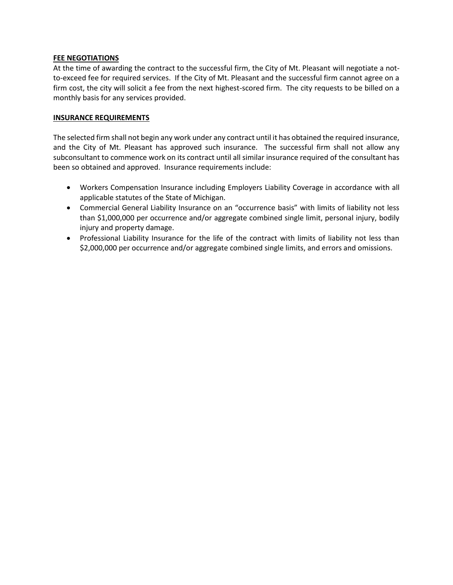#### **FEE NEGOTIATIONS**

At the time of awarding the contract to the successful firm, the City of Mt. Pleasant will negotiate a notto-exceed fee for required services. If the City of Mt. Pleasant and the successful firm cannot agree on a firm cost, the city will solicit a fee from the next highest-scored firm. The city requests to be billed on a monthly basis for any services provided.

#### **INSURANCE REQUIREMENTS**

The selected firm shall not begin any work under any contract until it has obtained the required insurance, and the City of Mt. Pleasant has approved such insurance. The successful firm shall not allow any subconsultant to commence work on its contract until all similar insurance required of the consultant has been so obtained and approved. Insurance requirements include:

- Workers Compensation Insurance including Employers Liability Coverage in accordance with all applicable statutes of the State of Michigan.
- Commercial General Liability Insurance on an "occurrence basis" with limits of liability not less than \$1,000,000 per occurrence and/or aggregate combined single limit, personal injury, bodily injury and property damage.
- Professional Liability Insurance for the life of the contract with limits of liability not less than \$2,000,000 per occurrence and/or aggregate combined single limits, and errors and omissions.